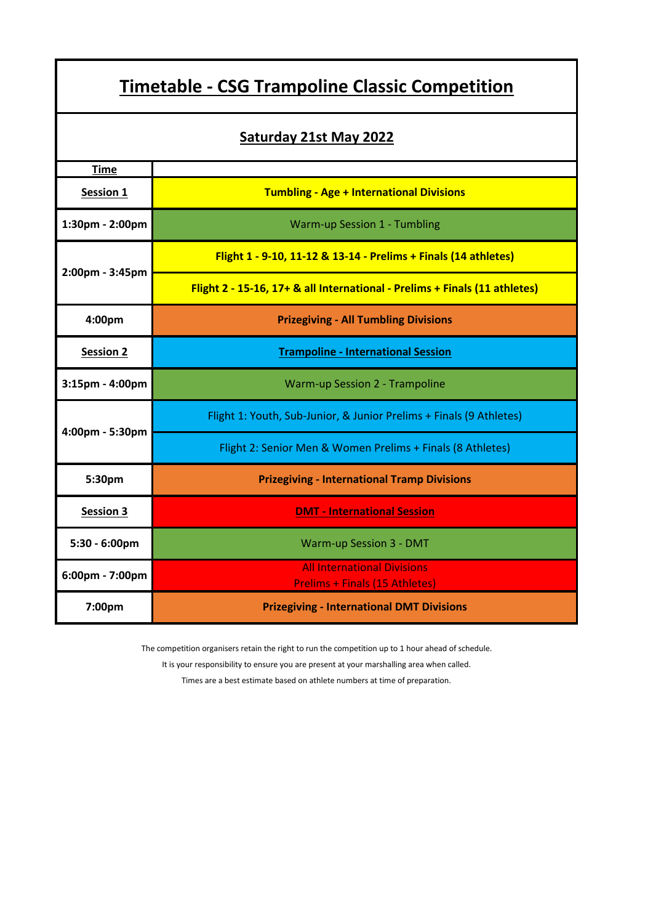| <u><b>Timetable - CSG Trampoline Classic Competition</b></u> |                                                                             |  |
|--------------------------------------------------------------|-----------------------------------------------------------------------------|--|
| <b>Saturday 21st May 2022</b>                                |                                                                             |  |
| <b>Time</b>                                                  |                                                                             |  |
| Session 1                                                    | <b>Tumbling - Age + International Divisions</b>                             |  |
| 1:30pm - 2:00pm                                              | Warm-up Session 1 - Tumbling                                                |  |
| 2:00pm - 3:45pm                                              | Flight 1 - 9-10, 11-12 & 13-14 - Prelims + Finals (14 athletes)             |  |
|                                                              | Flight 2 - 15-16, 17+ & all International - Prelims + Finals (11 athletes)  |  |
| 4:00pm                                                       | <b>Prizegiving - All Tumbling Divisions</b>                                 |  |
| <b>Session 2</b>                                             | <b>Trampoline - International Session</b>                                   |  |
| $3:15$ pm - $4:00$ pm                                        | Warm-up Session 2 - Trampoline                                              |  |
| 4:00pm - 5:30pm                                              | Flight 1: Youth, Sub-Junior, & Junior Prelims + Finals (9 Athletes)         |  |
|                                                              | Flight 2: Senior Men & Women Prelims + Finals (8 Athletes)                  |  |
| 5:30pm                                                       | <b>Prizegiving - International Tramp Divisions</b>                          |  |
| <b>Session 3</b>                                             | <b>DMT - International Session</b>                                          |  |
| 5:30 - 6:00pm                                                | Warm-up Session 3 - DMT                                                     |  |
| 6:00pm - 7:00pm                                              | <b>All International Divisions</b><br><b>Prelims + Finals (15 Athletes)</b> |  |
| 7:00pm                                                       | <b>Prizegiving - International DMT Divisions</b>                            |  |

L

The competition organisers retain the right to run the competition up to 1 hour ahead of schedule.

It is your responsibility to ensure you are present at your marshalling area when called.

Times are a best estimate based on athlete numbers at time of preparation.